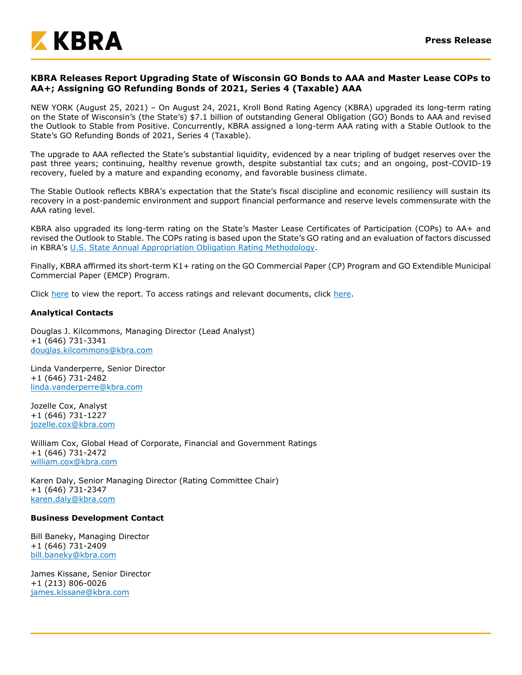

# **KBRA Releases Report Upgrading State of Wisconsin GO Bonds to AAA and Master Lease COPs to AA+; Assigning GO Refunding Bonds of 2021, Series 4 (Taxable) AAA**

NEW YORK (August 25, 2021) – On August 24, 2021, Kroll Bond Rating Agency (KBRA) upgraded its long-term rating on the State of Wisconsin's (the State's) \$7.1 billion of outstanding General Obligation (GO) Bonds to AAA and revised the Outlook to Stable from Positive. Concurrently, KBRA assigned a long-term AAA rating with a Stable Outlook to the State's GO Refunding Bonds of 2021, Series 4 (Taxable).

The upgrade to AAA reflected the State's substantial liquidity, evidenced by a near tripling of budget reserves over the past three years; continuing, healthy revenue growth, despite substantial tax cuts; and an ongoing, post-COVID-19 recovery, fueled by a mature and expanding economy, and favorable business climate.

The Stable Outlook reflects KBRA's expectation that the State's fiscal discipline and economic resiliency will sustain its recovery in a post-pandemic environment and support financial performance and reserve levels commensurate with the AAA rating level.

KBRA also upgraded its long-term rating on the State's Master Lease Certificates of Participation (COPs) to AA+ and revised the Outlook to Stable. The COPs rating is based upon the State's GO rating and an evaluation of factors discussed in KBRA's [U.S. State Annual Appropriation Obligation Rating Methodology.](https://www.kbra.com/documents/report/1015/public-finance-u-s-state-annual-appropriation-obligation-rating-methodology)

Finally, KBRA affirmed its short-term K1+ rating on the GO Commercial Paper (CP) Program and GO Extendible Municipal Commercial Paper (EMCP) Program.

Click [here](https://www.kbra.com/documents/report/53948/state-of-wisconsin-general-obligation-refunding-bonds-of-2021-series-4-taxable-rating-report) to view the report. To access ratings and relevant documents, click [here.](https://www.kbra.com/issuers/50035/obligor-ratings)

## **Analytical Contacts**

Douglas J. Kilcommons, Managing Director (Lead Analyst) +1 (646) 731-3341 [douglas.kilcommons@kbra.com](mailto:douglas.kilcommons@kbra.com)

Linda Vanderperre, Senior Director +1 (646) 731-2482 [linda.vanderperre@kbra.com](mailto:linda.vanderperre@kbra.com)

Jozelle Cox, Analyst +1 (646) 731-1227 [jozelle.cox@kbra.com](mailto:jozelle.cox@kbra.com)

William Cox, Global Head of Corporate, Financial and Government Ratings +1 (646) 731-2472 [william.cox@kbra.com](mailto:william.cox@kbra.com)

Karen Daly, Senior Managing Director (Rating Committee Chair) +1 (646) 731-2347 [karen.daly@kbra.com](mailto:karen.daly@kbra.com)

#### **Business Development Contact**

Bill Baneky, Managing Director +1 (646) 731-2409 [bill.baneky@kbra.com](mailto:bill.baneky@kbra.com)

James Kissane, Senior Director +1 (213) 806-0026 [james.kissane@kbra.com](mailto:james.kissane@kbra.com)